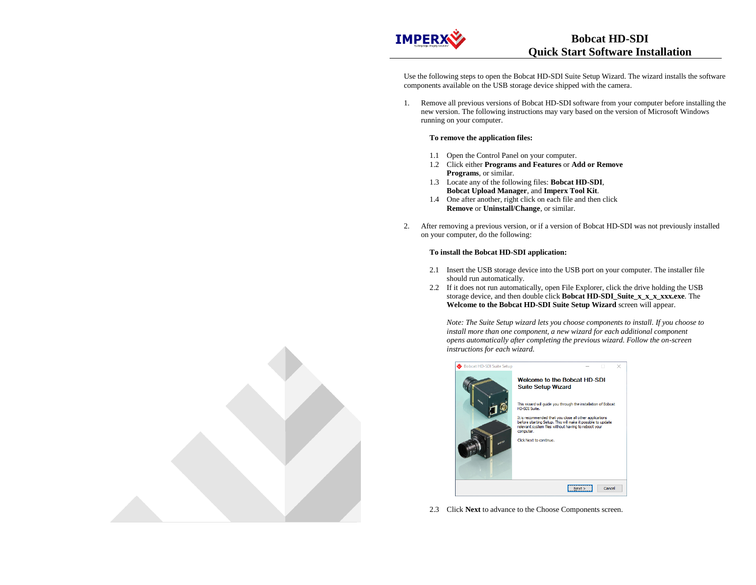

Use the following steps to open the Bobcat HD-SDI Suite Setup Wizard. The wizard installs the software components available on the USB storage device shipped with the camera.

1. Remove all previous versions of Bobcat HD-SDI software from your computer before installing the new version. The following instructions may vary based on the version of Microsoft Windows running on your computer.

## **To remove the application files:**

- 1.1 Open the Control Panel on your computer.
- 1.2 Click either **Programs and Features** or **Add or Remove Programs**, or similar.
- 1.3 Locate any of the following files: **Bobcat HD-SDI**, **Bobcat Upload Manager**, and **Imperx Tool Kit**.
- 1.4 One after another, right click on each file and then click **Remove** or **Uninstall/Change**, or similar.
- 2. After removing a previous version, or if a version of Bobcat HD-SDI was not previously installed on your computer, do the following:

## **To install the Bobcat HD-SDI application:**

- 2.1 Insert the USB storage device into the USB port on your computer. The installer file should run automatically.
- 2.2 If it does not run automatically, open File Explorer, click the drive holding the USB storage device, and then double click **Bobcat HD-SDI\_Suite\_x\_x\_x\_xxx.exe**. The **Welcome to the Bobcat HD-SDI Suite Setup Wizard** screen will appear.

*Note: The Suite Setup wizard lets you choose components to install. If you choose to install more than one component, a new wizard for each additional component opens automatically after completing the previous wizard. Follow the on-screen instructions for each wizard.* 



2.3 Click **Next** to advance to the Choose Components screen.